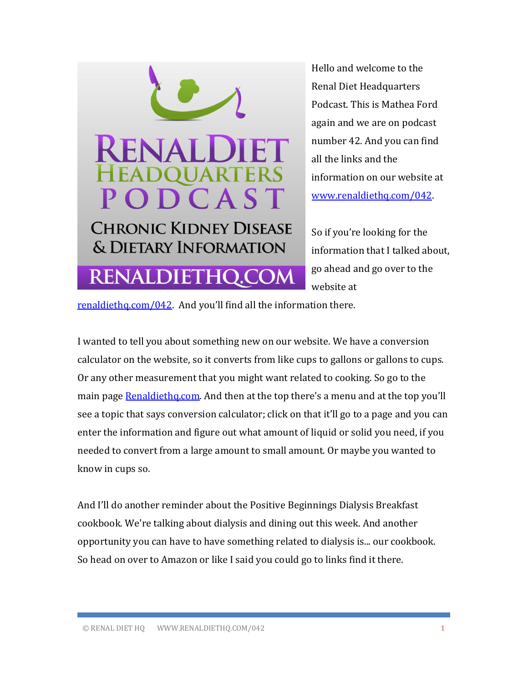

Hello and welcome to the Renal Diet Headquarters Podcast. This is Mathea Ford again and we are on podcast number 42. And you can find all the links and the information on our website at [www.renaldiethq.com/042.](http://www.renaldiethq.com/042) 

So if you're looking for the information that I talked about, go ahead and go over to the website at

[renaldiethq.com/042](http://www.renaldiethq.com/042). And you'll find all the information there.

I wanted to tell you about something new on our website. We have a conversion calculator on the website, so it converts from like cups to gallons or gallons to cups. Or any other measurement that you might want related to cooking. So go to the main page [Renaldiethq.com](https://www.renaldiethq.com/). And then at the top there's a menu and at the top you'll see a topic that says conversion calculator; click on that it'll go to a page and you can enter the information and figure out what amount of liquid or solid you need, if you needed to convert from a large amount to small amount. Or maybe you wanted to know in cups so.

And I'll do another reminder about the Positive Beginnings Dialysis Breakfast cookbook. We're talking about dialysis and dining out this week. And another opportunity you can have to have something related to dialysis is... our cookbook. So head on over to Amazon or like I said you could go to links find it there.

© RENAL DIET HQ WWW.RENALDIETHQ.COM/042 1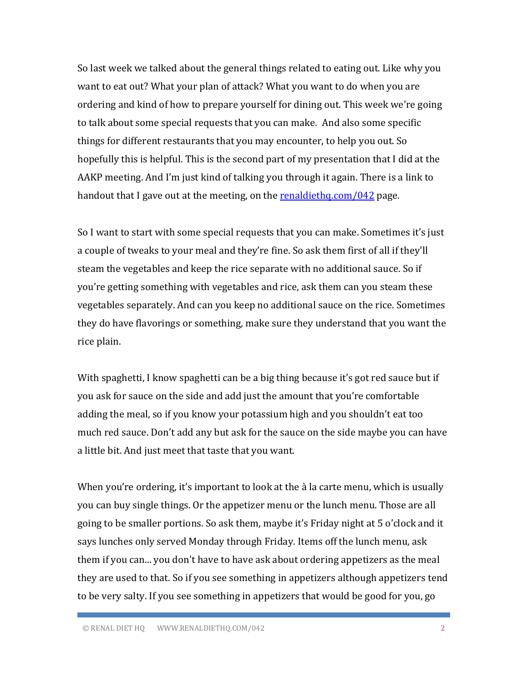So last week we talked about the general things related to eating out. Like why you want to eat out? What your plan of attack? What you want to do when you are ordering and kind of how to prepare yourself for dining out. This week we're going to talk about some special requests that you can make. And also some specific things for different restaurants that you may encounter, to help you out. So hopefully this is helpful. This is the second part of my presentation that I did at the AAKP meeting. And I'm just kind of talking you through it again. There is a link to handout that I gave out at the meeting, on the [renaldiethq.com/042](https://www.renaldiethq.com/042) page.

So I want to start with some special requests that you can make. Sometimes it's just a couple of tweaks to your meal and they're fine. So ask them first of all if they'll steam the vegetables and keep the rice separate with no additional sauce. So if you're getting something with vegetables and rice, ask them can you steam these vegetables separately. And can you keep no additional sauce on the rice. Sometimes they do have flavorings or something, make sure they understand that you want the rice plain.

With spaghetti, I know spaghetti can be a big thing because it's got red sauce but if you ask for sauce on the side and add just the amount that you're comfortable adding the meal, so if you know your potassium high and you shouldn't eat too much red sauce. Don't add any but ask for the sauce on the side maybe you can have a little bit. And just meet that taste that you want.

When you're ordering, it's important to look at the à la carte menu, which is usually you can buy single things. Or the appetizer menu or the lunch menu. Those are all going to be smaller portions. So ask them, maybe it's Friday night at 5 o'clock and it says lunches only served Monday through Friday. Items off the lunch menu, ask them if you can... you don't have to have ask about ordering appetizers as the meal they are used to that. So if you see something in appetizers although appetizers tend to be very salty. If you see something in appetizers that would be good for you, go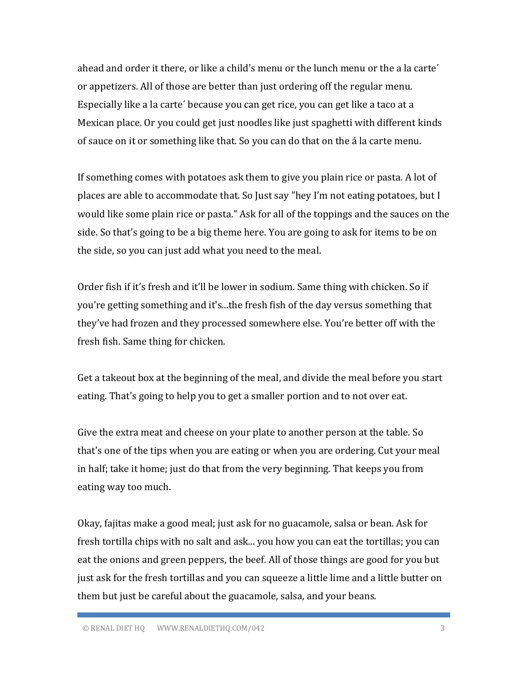ahead and order it there, or like a child's menu or the lunch menu or the a la carte´ or appetizers. All of those are better than just ordering off the regular menu. Especially like a la carte´ because you can get rice, you can get like a taco at a Mexican place. Or you could get just noodles like just spaghetti with different kinds of sauce on it or something like that. So you can do that on the á la carte menu.

If something comes with potatoes ask them to give you plain rice or pasta. A lot of places are able to accommodate that. So Just say "hey I'm not eating potatoes, but I would like some plain rice or pasta." Ask for all of the toppings and the sauces on the side. So that's going to be a big theme here. You are going to ask for items to be on the side, so you can just add what you need to the meal.

Order fish if it's fresh and it'll be lower in sodium. Same thing with chicken. So if you're getting something and it's...the fresh fish of the day versus something that they've had frozen and they processed somewhere else. You're better off with the fresh fish. Same thing for chicken.

Get a takeout box at the beginning of the meal, and divide the meal before you start eating. That's going to help you to get a smaller portion and to not over eat.

Give the extra meat and cheese on your plate to another person at the table. So that's one of the tips when you are eating or when you are ordering. Cut your meal in half; take it home; just do that from the very beginning. That keeps you from eating way too much.

Okay, fajitas make a good meal; just ask for no guacamole, salsa or bean. Ask for fresh tortilla chips with no salt and ask... you how you can eat the tortillas; you can eat the onions and green peppers, the beef. All of those things are good for you but just ask for the fresh tortillas and you can squeeze a little lime and a little butter on them but just be careful about the guacamole, salsa, and your beans.

© RENAL DIET HQ WWW.RENALDIETHQ.COM/042 3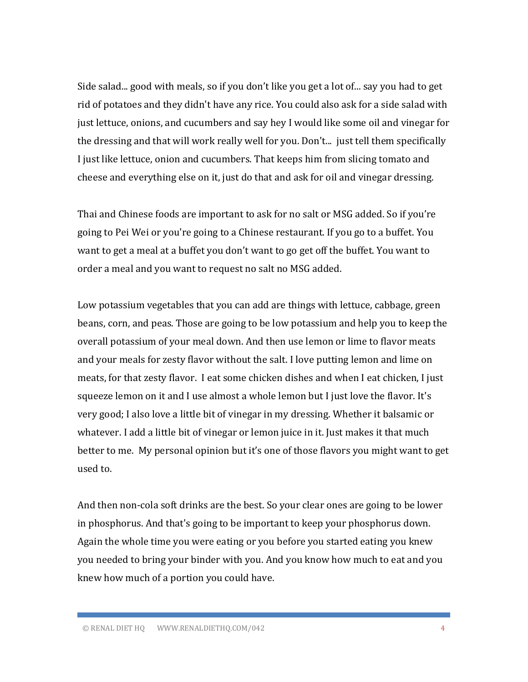Side salad... good with meals, so if you don't like you get a lot of... say you had to get rid of potatoes and they didn't have any rice. You could also ask for a side salad with just lettuce, onions, and cucumbers and say hey I would like some oil and vinegar for the dressing and that will work really well for you. Don't... just tell them specifically I just like lettuce, onion and cucumbers. That keeps him from slicing tomato and cheese and everything else on it, just do that and ask for oil and vinegar dressing.

Thai and Chinese foods are important to ask for no salt or MSG added. So if you're going to Pei Wei or you're going to a Chinese restaurant. If you go to a buffet. You want to get a meal at a buffet you don't want to go get off the buffet. You want to order a meal and you want to request no salt no MSG added.

Low potassium vegetables that you can add are things with lettuce, cabbage, green beans, corn, and peas. Those are going to be low potassium and help you to keep the overall potassium of your meal down. And then use lemon or lime to flavor meats and your meals for zesty flavor without the salt. I love putting lemon and lime on meats, for that zesty flavor. I eat some chicken dishes and when I eat chicken, I just squeeze lemon on it and I use almost a whole lemon but I just love the flavor. It's very good; I also love a little bit of vinegar in my dressing. Whether it balsamic or whatever. I add a little bit of vinegar or lemon juice in it. Just makes it that much better to me. My personal opinion but it's one of those flavors you might want to get used to.

And then non-cola soft drinks are the best. So your clear ones are going to be lower in phosphorus. And that's going to be important to keep your phosphorus down. Again the whole time you were eating or you before you started eating you knew you needed to bring your binder with you. And you know how much to eat and you knew how much of a portion you could have.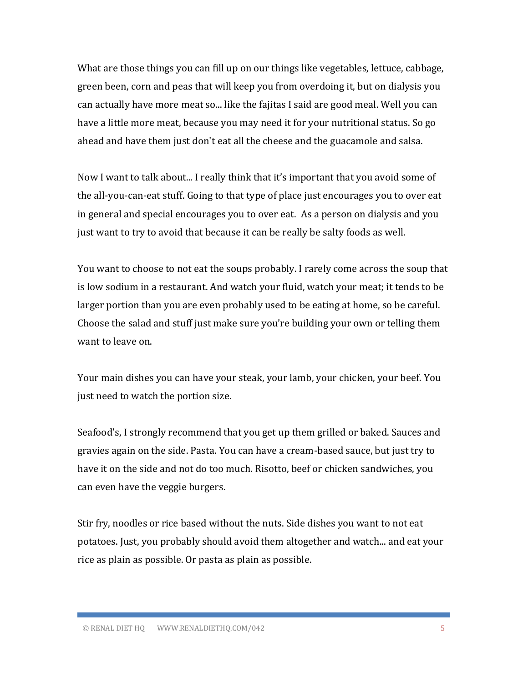What are those things you can fill up on our things like vegetables, lettuce, cabbage, green been, corn and peas that will keep you from overdoing it, but on dialysis you can actually have more meat so... like the fajitas I said are good meal. Well you can have a little more meat, because you may need it for your nutritional status. So go ahead and have them just don't eat all the cheese and the guacamole and salsa.

Now I want to talk about... I really think that it's important that you avoid some of the all-you-can-eat stuff. Going to that type of place just encourages you to over eat in general and special encourages you to over eat. As a person on dialysis and you just want to try to avoid that because it can be really be salty foods as well.

You want to choose to not eat the soups probably. I rarely come across the soup that is low sodium in a restaurant. And watch your fluid, watch your meat; it tends to be larger portion than you are even probably used to be eating at home, so be careful. Choose the salad and stuff just make sure you're building your own or telling them want to leave on.

Your main dishes you can have your steak, your lamb, your chicken, your beef. You just need to watch the portion size.

Seafood's, I strongly recommend that you get up them grilled or baked. Sauces and gravies again on the side. Pasta. You can have a cream-based sauce, but just try to have it on the side and not do too much. Risotto, beef or chicken sandwiches, you can even have the veggie burgers.

Stir fry, noodles or rice based without the nuts. Side dishes you want to not eat potatoes. Just, you probably should avoid them altogether and watch... and eat your rice as plain as possible. Or pasta as plain as possible.

© RENAL DIET HQ WWW.RENALDIETHQ.COM/042 5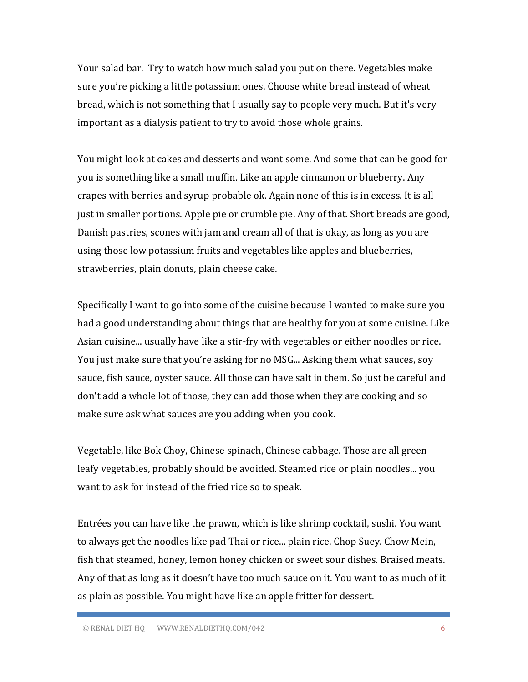Your salad bar. Try to watch how much salad you put on there. Vegetables make sure you're picking a little potassium ones. Choose white bread instead of wheat bread, which is not something that I usually say to people very much. But it's very important as a dialysis patient to try to avoid those whole grains.

You might look at cakes and desserts and want some. And some that can be good for you is something like a small muffin. Like an apple cinnamon or blueberry. Any crapes with berries and syrup probable ok. Again none of this is in excess. It is all just in smaller portions. Apple pie or crumble pie. Any of that. Short breads are good, Danish pastries, scones with jam and cream all of that is okay, as long as you are using those low potassium fruits and vegetables like apples and blueberries, strawberries, plain donuts, plain cheese cake.

Specifically I want to go into some of the cuisine because I wanted to make sure you had a good understanding about things that are healthy for you at some cuisine. Like Asian cuisine... usually have like a stir-fry with vegetables or either noodles or rice. You just make sure that you're asking for no MSG... Asking them what sauces, soy sauce, fish sauce, oyster sauce. All those can have salt in them. So just be careful and don't add a whole lot of those, they can add those when they are cooking and so make sure ask what sauces are you adding when you cook.

Vegetable, like Bok Choy, Chinese spinach, Chinese cabbage. Those are all green leafy vegetables, probably should be avoided. Steamed rice or plain noodles... you want to ask for instead of the fried rice so to speak.

Entrées you can have like the prawn, which is like shrimp cocktail, sushi. You want to always get the noodles like pad Thai or rice... plain rice. Chop Suey. Chow Mein, fish that steamed, honey, lemon honey chicken or sweet sour dishes. Braised meats. Any of that as long as it doesn't have too much sauce on it. You want to as much of it as plain as possible. You might have like an apple fritter for dessert.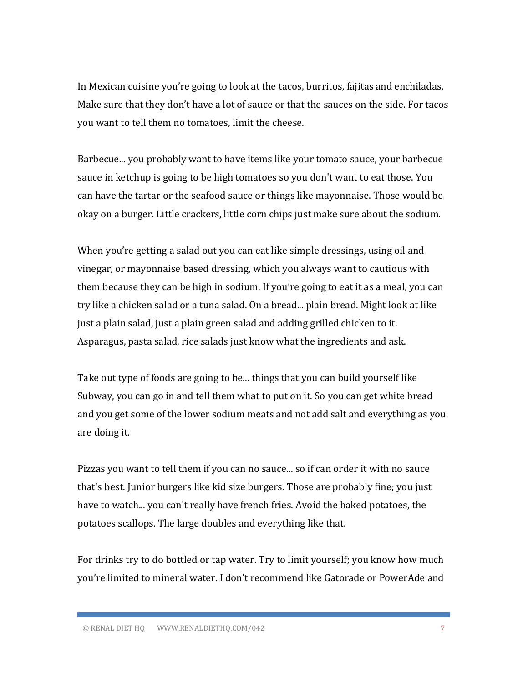In Mexican cuisine you're going to look at the tacos, burritos, fajitas and enchiladas. Make sure that they don't have a lot of sauce or that the sauces on the side. For tacos you want to tell them no tomatoes, limit the cheese.

Barbecue... you probably want to have items like your tomato sauce, your barbecue sauce in ketchup is going to be high tomatoes so you don't want to eat those. You can have the tartar or the seafood sauce or things like mayonnaise. Those would be okay on a burger. Little crackers, little corn chips just make sure about the sodium.

When you're getting a salad out you can eat like simple dressings, using oil and vinegar, or mayonnaise based dressing, which you always want to cautious with them because they can be high in sodium. If you're going to eat it as a meal, you can try like a chicken salad or a tuna salad. On a bread... plain bread. Might look at like just a plain salad, just a plain green salad and adding grilled chicken to it. Asparagus, pasta salad, rice salads just know what the ingredients and ask.

Take out type of foods are going to be... things that you can build yourself like Subway, you can go in and tell them what to put on it. So you can get white bread and you get some of the lower sodium meats and not add salt and everything as you are doing it.

Pizzas you want to tell them if you can no sauce... so if can order it with no sauce that's best. Junior burgers like kid size burgers. Those are probably fine; you just have to watch... you can't really have french fries. Avoid the baked potatoes, the potatoes scallops. The large doubles and everything like that.

For drinks try to do bottled or tap water. Try to limit yourself; you know how much you're limited to mineral water. I don't recommend like Gatorade or PowerAde and